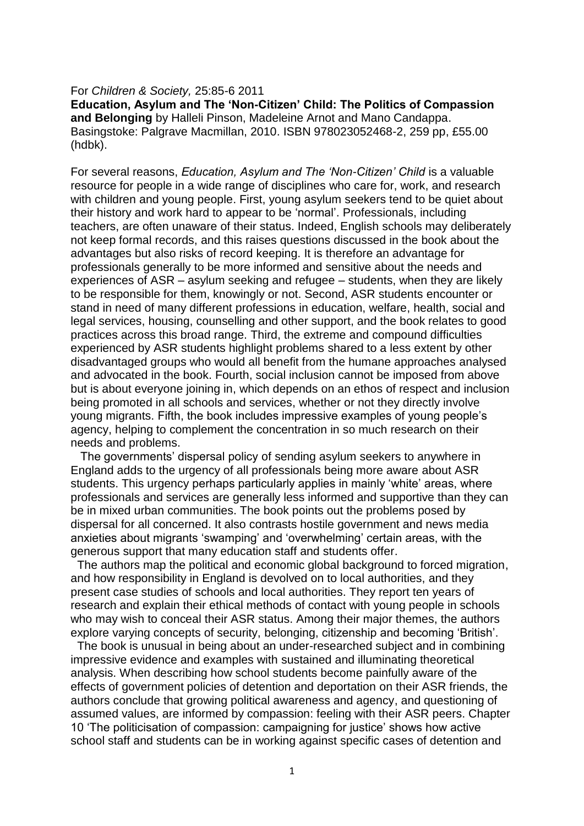## For *Children & Society,* 25:85-6 2011

**Education, Asylum and The 'Non-Citizen' Child: The Politics of Compassion and Belonging** by Halleli Pinson, Madeleine Arnot and Mano Candappa. Basingstoke: Palgrave Macmillan, 2010. ISBN 978023052468-2, 259 pp, £55.00 (hdbk).

For several reasons, *Education, Asylum and The 'Non-Citizen' Child* is a valuable resource for people in a wide range of disciplines who care for, work, and research with children and young people. First, young asylum seekers tend to be quiet about their history and work hard to appear to be 'normal'. Professionals, including teachers, are often unaware of their status. Indeed, English schools may deliberately not keep formal records, and this raises questions discussed in the book about the advantages but also risks of record keeping. It is therefore an advantage for professionals generally to be more informed and sensitive about the needs and experiences of ASR – asylum seeking and refugee – students, when they are likely to be responsible for them, knowingly or not. Second, ASR students encounter or stand in need of many different professions in education, welfare, health, social and legal services, housing, counselling and other support, and the book relates to good practices across this broad range. Third, the extreme and compound difficulties experienced by ASR students highlight problems shared to a less extent by other disadvantaged groups who would all benefit from the humane approaches analysed and advocated in the book. Fourth, social inclusion cannot be imposed from above but is about everyone joining in, which depends on an ethos of respect and inclusion being promoted in all schools and services, whether or not they directly involve young migrants. Fifth, the book includes impressive examples of young people's agency, helping to complement the concentration in so much research on their needs and problems.

 The governments' dispersal policy of sending asylum seekers to anywhere in England adds to the urgency of all professionals being more aware about ASR students. This urgency perhaps particularly applies in mainly 'white' areas, where professionals and services are generally less informed and supportive than they can be in mixed urban communities. The book points out the problems posed by dispersal for all concerned. It also contrasts hostile government and news media anxieties about migrants 'swamping' and 'overwhelming' certain areas, with the generous support that many education staff and students offer.

 The authors map the political and economic global background to forced migration, and how responsibility in England is devolved on to local authorities, and they present case studies of schools and local authorities. They report ten years of research and explain their ethical methods of contact with young people in schools who may wish to conceal their ASR status. Among their major themes, the authors explore varying concepts of security, belonging, citizenship and becoming 'British'.

 The book is unusual in being about an under-researched subject and in combining impressive evidence and examples with sustained and illuminating theoretical analysis. When describing how school students become painfully aware of the effects of government policies of detention and deportation on their ASR friends, the authors conclude that growing political awareness and agency, and questioning of assumed values, are informed by compassion: feeling with their ASR peers. Chapter 10 'The politicisation of compassion: campaigning for justice' shows how active school staff and students can be in working against specific cases of detention and